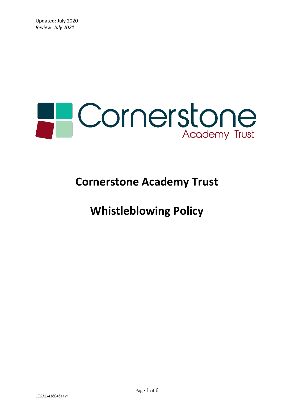

# **Cornerstone Academy Trust**

# **Whistleblowing Policy**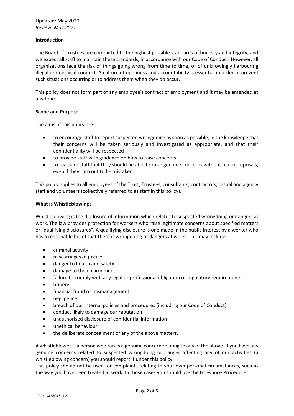#### **Introduction**

The Board of Trustees are committed to the highest possible standards of honesty and integrity, and we expect all staff to maintain these standards, in accordance with our Code of Conduct. However, all organisations face the risk of things going wrong from time to time, or of unknowingly harbouring illegal or unethical conduct. A culture of openness and accountability is essential in order to prevent such situations occurring or to address them when they do occur.

This policy does not form part of any employee's contract of employment and it may be amended at any time.

#### **Scope and Purpose**

The aims of this policy are:

- to encourage staff to report suspected wrongdoing as soon as possible, in the knowledge that their concerns will be taken seriously and investigated as appropriate, and that their confidentiality will be respected
- to provide staff with guidance on how to raise concerns
- to reassure staff that they should be able to raise genuine concerns without fear of reprisals, even if they turn out to be mistaken.

This policy applies to all employees of the Trust, Trustees, consultants, contractors, casual and agency staff and volunteers (collectively referred to as staff in this policy).

#### **What is Whistleblowing?**

Whistleblowing is the disclosure of information which relates to suspected wrongdoing or dangers at work. The law provides protection for workers who raise legitimate concerns about specified matters or "qualifying disclosures". A qualifying disclosure is one made in the public interest by a worker who has a reasonable belief that there is wrongdoing or dangers at work. This may include:

- criminal activity
- miscarriages of justice
- danger to health and safety
- damage to the environment
- failure to comply with any legal or professional obligation or regulatory requirements
- bribery
- financial fraud or mismanagement
- negligence
- breach of our internal policies and procedures (including our Code of Conduct)
- conduct likely to damage our reputation
- unauthorised disclosure of confidential information
- unethical behaviour
- the deliberate concealment of any of the above matters.

A whistleblower is a person who raises a genuine concern relating to any of the above. If you have any genuine concerns related to suspected wrongdoing or danger affecting any of our activities (a whistleblowing concern) you should report it under this policy.

This policy should not be used for complaints relating to your own personal circumstances, such as the way you have been treated at work. In those cases you should use the Grievance Procedure.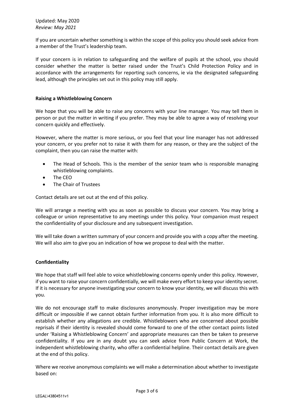If you are uncertain whether something is within the scope of this policy you should seek advice from a member of the Trust's leadership team.

If your concern is in relation to safeguarding and the welfare of pupils at the school, you should consider whether the matter is better raised under the Trust's Child Protection Policy and in accordance with the arrangements for reporting such concerns, ie via the designated safeguarding lead, although the principles set out in this policy may still apply.

## **Raising a Whistleblowing Concern**

We hope that you will be able to raise any concerns with your line manager. You may tell them in person or put the matter in writing if you prefer. They may be able to agree a way of resolving your concern quickly and effectively.

However, where the matter is more serious, or you feel that your line manager has not addressed your concern, or you prefer not to raise it with them for any reason, or they are the subject of the complaint, then you can raise the matter with:

- The Head of Schools. This is the member of the senior team who is responsible managing whistleblowing complaints.
- The CEO
- The Chair of Trustees

Contact details are set out at the end of this policy.

We will arrange a meeting with you as soon as possible to discuss your concern. You may bring a colleague or union representative to any meetings under this policy. Your companion must respect the confidentiality of your disclosure and any subsequent investigation.

We will take down a written summary of your concern and provide you with a copy after the meeting. We will also aim to give you an indication of how we propose to deal with the matter.

## **Confidentiality**

We hope that staff will feel able to voice whistleblowing concerns openly under this policy. However, if you want to raise your concern confidentially, we will make every effort to keep your identity secret. If it is necessary for anyone investigating your concern to know your identity, we will discuss this with you.

We do not encourage staff to make disclosures anonymously. Proper investigation may be more difficult or impossible if we cannot obtain further information from you. It is also more difficult to establish whether any allegations are credible. Whistleblowers who are concerned about possible reprisals if their identity is revealed should come forward to one of the other contact points listed under 'Raising a Whistleblowing Concern' and appropriate measures can then be taken to preserve confidentiality. If you are in any doubt you can seek advice from Public Concern at Work, the independent whistleblowing charity, who offer a confidential helpline. Their contact details are given at the end of this policy.

Where we receive anonymous complaints we will make a determination about whether to investigate based on: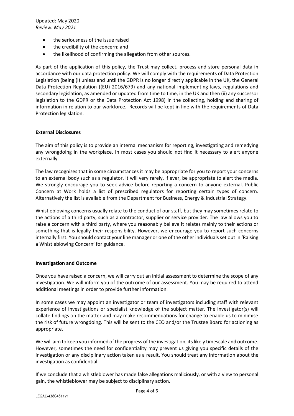- the seriousness of the issue raised
- the credibility of the concern; and
- the likelihood of confirming the allegation from other sources.

As part of the application of this policy, the Trust may collect, process and store personal data in accordance with our data protection policy. We will comply with the requirements of Data Protection Legislation (being (i) unless and until the GDPR is no longer directly applicable in the UK, the General Data Protection Regulation ((EU) 2016/679) and any national implementing laws, regulations and secondary legislation, as amended or updated from time to time, in the UK and then (ii) any successor legislation to the GDPR or the Data Protection Act 1998) in the collecting, holding and sharing of information in relation to our workforce. Records will be kept in line with the requirements of Data Protection legislation.

## **External Disclosures**

The aim of this policy is to provide an internal mechanism for reporting, investigating and remedying any wrongdoing in the workplace. In most cases you should not find it necessary to alert anyone externally.

The law recognises that in some circumstances it may be appropriate for you to report your concerns to an external body such as a regulator. It will very rarely, if ever, be appropriate to alert the media. We strongly encourage you to seek advice before reporting a concern to anyone external. Public Concern at Work holds a list of prescribed regulators for reporting certain types of concern. Alternatively the list is available from the Department for Business, Energy & Industrial Strategy.

Whistleblowing concerns usually relate to the conduct of our staff, but they may sometimes relate to the actions of a third party, such as a contractor, supplier or service provider. The law allows you to raise a concern with a third party, where you reasonably believe it relates mainly to their actions or something that is legally their responsibility. However, we encourage you to report such concerns internally first. You should contact your line manager or one of the other individuals set out in 'Raising a Whistleblowing Concern' for guidance.

#### **Investigation and Outcome**

Once you have raised a concern, we will carry out an initial assessment to determine the scope of any investigation. We will inform you of the outcome of our assessment. You may be required to attend additional meetings in order to provide further information.

In some cases we may appoint an investigator or team of investigators including staff with relevant experience of investigations or specialist knowledge of the subject matter. The investigator(s) will collate findings on the matter and may make recommendations for change to enable us to minimise the risk of future wrongdoing. This will be sent to the CEO and/or the Trustee Board for actioning as appropriate.

We will aim to keep you informed of the progress of the investigation, its likely timescale and outcome. However, sometimes the need for confidentiality may prevent us giving you specific details of the investigation or any disciplinary action taken as a result. You should treat any information about the investigation as confidential.

If we conclude that a whistleblower has made false allegations maliciously, or with a view to personal gain, the whistleblower may be subject to disciplinary action.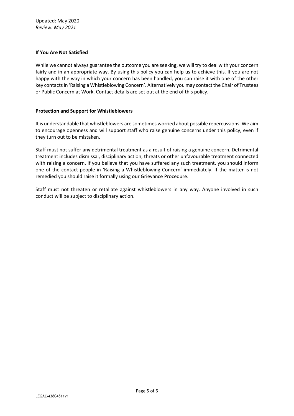## **If You Are Not Satisfied**

While we cannot always guarantee the outcome you are seeking, we will try to deal with your concern fairly and in an appropriate way. By using this policy you can help us to achieve this. If you are not happy with the way in which your concern has been handled, you can raise it with one of the other key contacts in 'Raising a Whistleblowing Concern'. Alternatively you may contact the Chair of Trustees or Public Concern at Work. Contact details are set out at the end of this policy.

## **Protection and Support for Whistleblowers**

It is understandable that whistleblowers are sometimes worried about possible repercussions. We aim to encourage openness and will support staff who raise genuine concerns under this policy, even if they turn out to be mistaken.

Staff must not suffer any detrimental treatment as a result of raising a genuine concern. Detrimental treatment includes dismissal, disciplinary action, threats or other unfavourable treatment connected with raising a concern. If you believe that you have suffered any such treatment, you should inform one of the contact people in 'Raising a Whistleblowing Concern' immediately. If the matter is not remedied you should raise it formally using our Grievance Procedure.

Staff must not threaten or retaliate against whistleblowers in any way. Anyone involved in such conduct will be subject to disciplinary action.